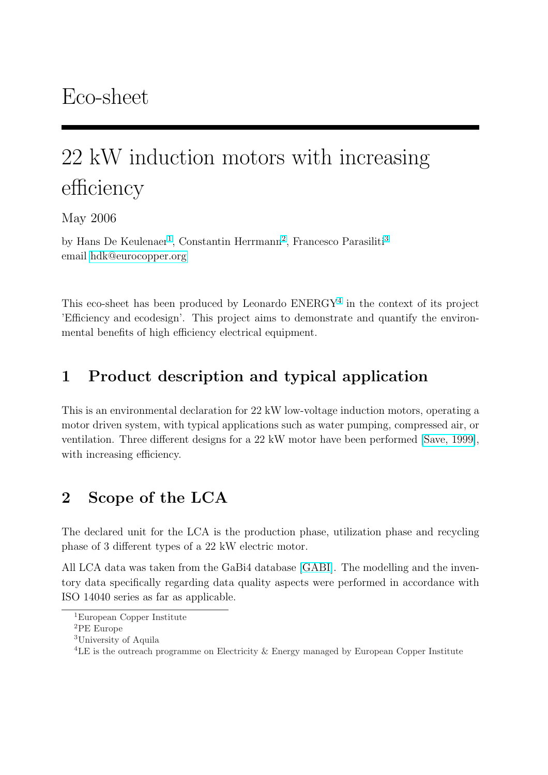# 22 kW induction motors with increasing efficiency

May 2006

by Hans De Keulenaer<sup>1</sup>, Constantin Herrmann<sup>2</sup>, Francesco Parasiliti<sup>3</sup> email hdk@eurocopper.org

This [eco-sheet has been pr](mailto:hdk@eurocopper.org)oduced by Leonardo  $ENERGY<sup>4</sup>$  in the context of its project 'Efficiency and ecodesign'. This project aims to demonstrate and quantify the environmental benefits of high efficiency electrical equipment.

# 1 Product description and typical application

This is an environmental declaration for 22 kW low-voltage induction motors, operating a motor driven system, with typical applications such as water pumping, compressed air, or ventilation. Three different designs for a 22 kW motor have been performed [Save, 1999], with increasing efficiency.

# 2 Scope of the LCA

The declared unit for the LCA is the production phase, utilization phase and recycling phase of 3 different types of a 22 kW electric motor.

All LCA data was taken from the GaBi4 database [GABI]. The modelling and the inventory data specifically regarding data quality aspects were performed in accordance with ISO 14040 series as far as applicable.

<sup>1</sup>European Copper Institute

<sup>2</sup>PE Europe

<sup>3</sup>University of Aquila

<sup>4</sup>LE is the outreach programme on Electricity & Energy managed by European Copper Institute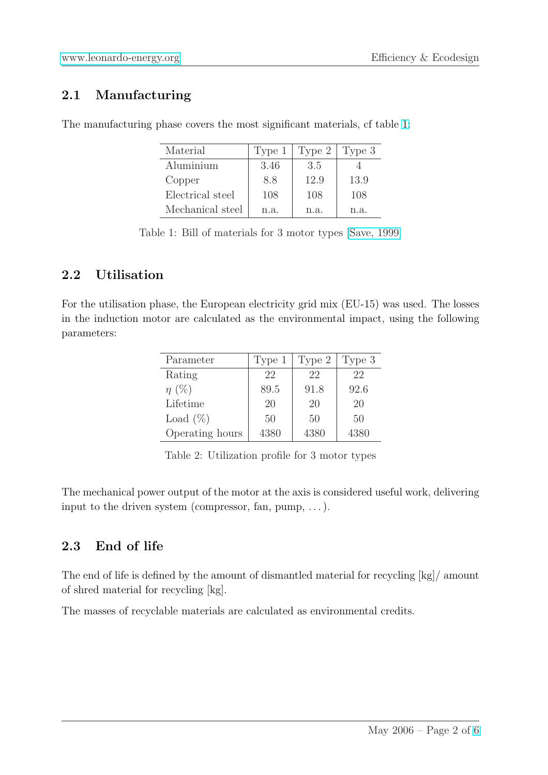## [2.1 Manufacturin](http://www.leonardo-energy.org)g

| Material         | Type 1 | Type 2 | Type 3 |
|------------------|--------|--------|--------|
| Aluminium        | 3.46   | 3.5    |        |
| Copper           | 8.8    | 12.9   | 13.9   |
| Electrical steel | 108    | 108    | 108    |
| Mechanical steel | n.a.   | n.a.   | n.a.   |

The manufacturing phase covers the most significant materials, cf table 1:

Table 1: Bill of materials for 3 motor types [Save, 1999]

### 2.2 Utilisation

For the utilisation phase, the European electricity grid mix (EU-15) was used. The losses in the induction motor are calculated as the environmental impact, using the following parameters:

| Parameter       | Type 1 | Type 2 | Type 3 |
|-----------------|--------|--------|--------|
| Rating          | 22     | 22     | 22     |
| $\eta$ (%)      | 89.5   | 91.8   | 92.6   |
| Lifetime        | 20     | 20     | 20     |
| Load $(\%)$     | 50     | 50     | 50     |
| Operating hours | 4380   | 4380   | 4380   |

Table 2: Utilization profile for 3 motor types

The mechanical power output of the motor at the axis is considered useful work, delivering input to the driven system (compressor, fan, pump,  $\dots$ ).

## 2.3 End of life

The end of life is defined by the amount of dismantled material for recycling [kg]/ amount of shred material for recycling [kg].

The masses of recyclable materials are calculated as environmental credits.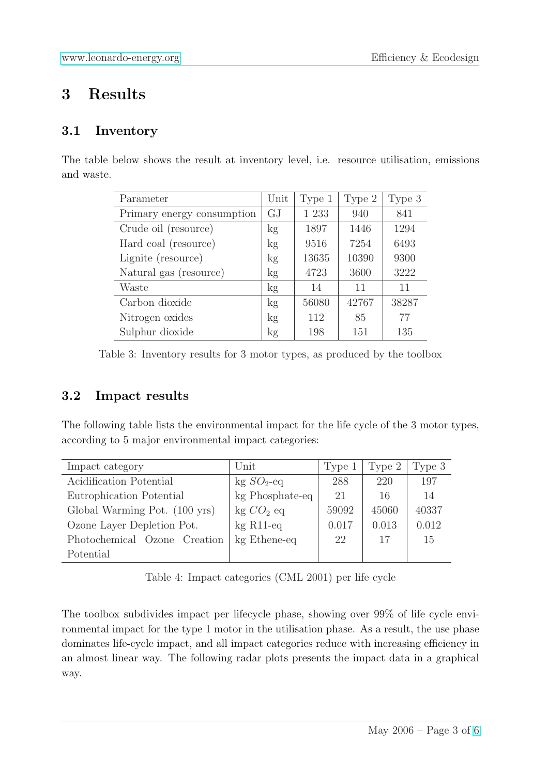## [3 Results](http://www.leonardo-energy.org)

#### 3.1 Inventory

The table below shows the result at inventory level, i.e. resource utilisation, emissions and waste.

| Parameter                  | Unit            | Type 1  | Type 2 | Type 3 |
|----------------------------|-----------------|---------|--------|--------|
| Primary energy consumption | GJ              | 1 2 3 3 | 940    | 841    |
| Crude oil (resource)       | kg <sub>1</sub> | 1897    | 1446   | 1294   |
| Hard coal (resource)       | kg              | 9516    | 7254   | 6493   |
| Lignite (resource)         | kg              | 13635   | 10390  | 9300   |
| Natural gas (resource)     | kg <sub>1</sub> | 4723    | 3600   | 3222   |
| Waste                      | kg              | 14      | 11     | 11     |
| Carbon dioxide             | kg              | 56080   | 42767  | 38287  |
| Nitrogen oxides            | kg <sub>1</sub> | 112     | 85     | 77     |
| Sulphur dioxide            | kg              | 198     | 151    | 135    |

Table 3: Inventory results for 3 motor types, as produced by the toolbox

#### 3.2 Impact results

The following table lists the environmental impact for the life cycle of the 3 motor types, according to 5 major environmental impact categories:

| Impact category               | Unit                     | Type 1 | Type 2 | Type 3 |
|-------------------------------|--------------------------|--------|--------|--------|
| Acidification Potential       | $kg SO2$ -eq             | 288    | 220    | 197    |
| Eutrophication Potential      | kg Phosphate-eq          | 21     | 16     | 14     |
| Global Warming Pot. (100 yrs) | $kg CO2$ eq              | 59092  | 45060  | 40337  |
| Ozone Layer Depletion Pot.    | $kg$ R <sub>11</sub> -eq | 0.017  | 0.013  | 0.012  |
| Photochemical Ozone Creation  | kg Ethene-eq             | 22     | 17     | 15     |
| Potential                     |                          |        |        |        |

Table 4: Impact categories (CML 2001) per life cycle

The toolbox subdivides impact per lifecycle phase, showing over 99% of life cycle environmental impact for the type 1 motor in the utilisation phase. As a result, the use phase dominates life-cycle impact, and all impact categories reduce with increasing efficiency in an almost linear way. The following radar plots presents the impact data in a graphical way.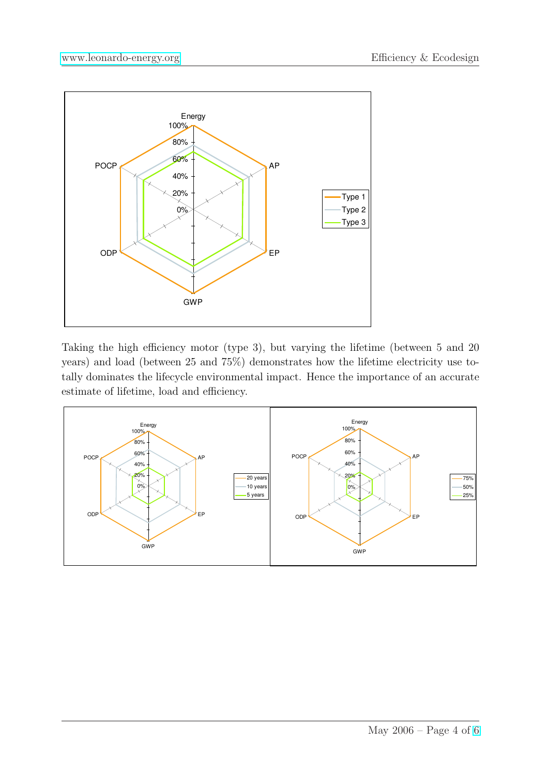

Taking the high efficiency motor (type 3), but varying the lifetime (between 5 and 20 years) and load (between 25 and 75%) demonstrates how the lifetime electricity use totally dominates the lifecycle environmental impact. Hence the importance of an accurate estimate of lifetime, load and efficiency.

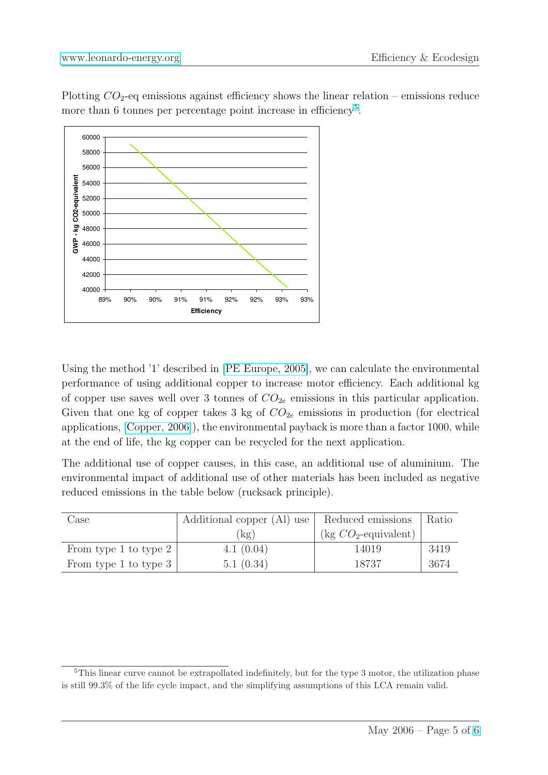Plotting  $CO_2$ -eq emissions against efficiency shows the linear relation – emissions reduce [more than 6 tonnes per p](http://www.leonardo-energy.org)ercentage point increase in efficiency<sup>5</sup>.



Using the method '1' described in [PE Europe, 2005], we can calculate the environmental performance of using additional copper to increase motor efficiency. Each additional kg of copper use saves well over 3 tonnes of  $CO_{2e}$  emissions in this particular application. Given that one kg of copper take[s 3 kg of](#page-5-0)  $CO_{2e}$  emissions in production (for electrical applications, [Copper, 2006]), the environmental payback is more than a factor 1000, while at the end of life, the kg copper can be recycled for the next application.

The additional use of copper causes, in this case, an additional use of aluminium. The environmenta[l impact of ad](#page-5-0)ditional use of other materials has been included as negative reduced emissions in the table below (rucksack principle).

| Case                  | Additional copper (Al) use | Reduced emissions                               | Ratio |
|-----------------------|----------------------------|-------------------------------------------------|-------|
|                       | $\lceil \log \rceil$       | $\left(\text{kg }CO_2\text{-equivalent}\right)$ |       |
| From type 1 to type 2 | 4.1 $(0.04)$               | 14019                                           | 3419  |
| From type 1 to type 3 | 5.1(0.34)                  | 18737                                           | 3674  |

 $5$ This linear curve cannot be extrapollated indefinitely, but for the type 3 motor, the utilization phase is still 99.3% of the life cycle impact, and the simplifying assumptions of this LCA remain valid.